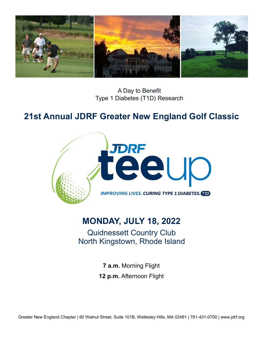

A Day to Benefit Type 1 Diabetes (T1D) Research

# **21st Annual JDRF Greater New England Golf Classic**



## **MONDAY, JULY 18, 2022**

Quidnessett Country Club North Kingstown, Rhode Island

> **7 a.m.** Morning Flight **12 p.m.** Afternoon Flight

Greater New England Chapter | 60 Walnut Street, Suite 101B, Wellesley Hills, MA 02481 | 781-431-0700 | www.jdrf.org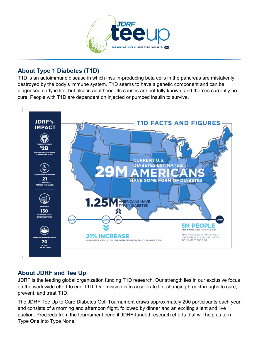

### **About Type 1 Diabetes (T1D)**

T1D is an autoimmune disease in which insulin-producing beta cells in the pancreas are mistakenly destroyed by the body's immune system. T1D seems to have a genetic component and can be diagnosed early in life, but also in adulthood. Its causes are not fully known, and there is currently no cure. People with T1D are dependent on injected or pumped insulin to survive.



#### **About JDRF and Tee Up**

JDRF is the leading global organization funding T1D research. Our strength lies in our exclusive focus on the worldwide effort to end T1D. Our mission is to accelerate life-changing breakthroughs to cure, prevent, and treat T1D.

The JDRF Tee Up to Cure Diabetes Golf Tournament draws approximately 200 participants each year and consists of a morning and afternoon flight, followed by dinner and an exciting silent and live auction. Proceeds from the tournament benefit JDRF-funded research efforts that will help us turn Type One into Type None.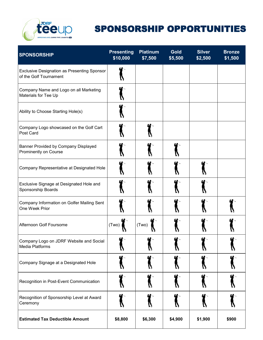

# SPONSORSHIP OPPORTUNITIES

| <b>SPONSORSHIP</b>                                                           | <b>Presenting</b><br>\$10,000 | <b>Platinum</b><br>\$7,500 | <b>Gold</b><br>\$5,500 | <b>Silver</b><br>\$2,500 | <b>Bronze</b><br>\$1,500 |
|------------------------------------------------------------------------------|-------------------------------|----------------------------|------------------------|--------------------------|--------------------------|
| <b>Exclusive Designation as Presenting Sponsor</b><br>of the Golf Tournament |                               |                            |                        |                          |                          |
| Company Name and Logo on all Marketing<br>Materials for Tee Up               |                               |                            |                        |                          |                          |
| Ability to Choose Starting Hole(s)                                           |                               |                            |                        |                          |                          |
| Company Logo showcased on the Golf Cart<br>Post Card                         |                               |                            |                        |                          |                          |
| Banner Provided by Company Displayed<br>Prominently on Course                |                               |                            |                        |                          |                          |
| Company Representative at Designated Hole                                    |                               |                            |                        |                          |                          |
| Exclusive Signage at Designated Hole and<br>Sponsorship Boards               |                               |                            |                        |                          |                          |
| Company Information on Golfer Mailing Sent<br>One Week Prior                 |                               |                            |                        |                          |                          |
| Afternoon Golf Foursome                                                      | (Two)                         | (Two)                      |                        |                          |                          |
| Company Logo on JDRF Website and Social<br>Media Platforms                   |                               |                            |                        |                          |                          |
| Company Signage at a Designated Hole                                         |                               |                            |                        |                          |                          |
| Recognition in Post-Event Communication                                      |                               |                            |                        |                          |                          |
| Recognition of Sponsorship Level at Award<br>Ceremony                        |                               |                            |                        |                          |                          |
| <b>Estimated Tax Deductible Amount</b>                                       | \$8,800                       | \$6,300                    | \$4,900                | \$1,900                  | \$900                    |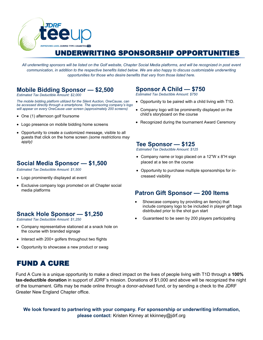

### UNDERWRITING SPONSORSHIP OPPORTUNITIES

*All underwriting sponsors will be listed on the Golf website, Chapter Social Media platforms, and will be recognized in post event communication, in addition to the respective benefits listed below. We are also happy to discuss customizable underwriting opportunities for those who desire benefits that vary from those listed here.* 

#### **Mobile Bidding Sponsor — \$2,500**

*Estimated Tax Deductible Amount: \$2,000* 

*The mobile bidding platform utilized for the Silent Auction, OneCause, can be accessed directly through a smartphone. The sponsoring company's logo will appear on every OneCause user screen (approximately 200 screens)* 

- One (1) afternoon golf foursome
- Logo presence on mobile bidding home screens
- Opportunity to create a customized message, visible to all guests that click on the home screen *(some restrictions may apply)*

#### **Social Media Sponsor — \$1,500**

*Estimated Tax Deductible Amount: \$1,500* 

- Logo prominently displayed at event
- Exclusive company logo promoted on all Chapter social media platforms

#### **Snack Hole Sponsor — \$1,250**

*Estimated Tax Deductible Amount: \$1,250* 

- Company representative stationed at a snack hole on the course with branded signage
- Interact with 200+ golfers throughout two flights
- Opportunity to showcase a new product or swag

#### **Sponsor A Child — \$750**

*Estimated Tax Deductible Amount: \$750*

- Opportunity to be paired with a child living with T1D.
- Company logo will be prominently displayed on the child's storyboard on the course
- Recognized during the tournament Award Ceremony

#### **Tee Sponsor — \$125**

*Estimated Tax Deductible Amount: \$125*

- Company name or logo placed on a 12"W x 8"H sign placed at a tee on the course
- Opportunity to purchase multiple sponsorships for increased visibility

#### **Patron Gift Sponsor — 200 Items**

- Showcase company by providing an item(s) that include company logo to be included in player gift bags distributed prior to the shot gun start
- Guaranteed to be seen by 200 players participating

### FUND A CURE

Fund A Cure is a unique opportunity to make a direct impact on the lives of people living with T1D through a **100% tax-deductible donation** in support of JDRF's mission. Donations of \$1,000 and above will be recognized the night of the tournament. Gifts may be made online through a donor-advised fund, or by sending a check to the JDRF Greater New England Chapter office.

**We look forward to partnering with your company. For sponsorship or underwriting information, please contact:** Kristen Kinney at kkinney@jdrf.org